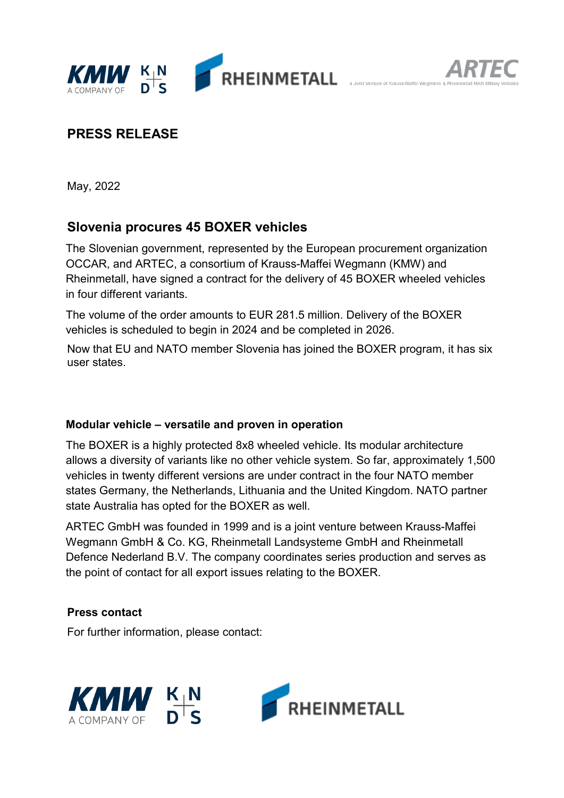

# **PRESS RELEASE**

May, 2022

## **Slovenia procures 45 BOXER vehicles**

The Slovenian government, represented by the European procurement organization OCCAR, and ARTEC, a consortium of Krauss-Maffei Wegmann (KMW) and Rheinmetall, have signed a contract for the delivery of 45 BOXER wheeled vehicles in four different variants.

The volume of the order amounts to EUR 281.5 million. Delivery of the BOXER vehicles is scheduled to begin in 2024 and be completed in 2026.

Now that EU and NATO member Slovenia has joined the BOXER program, it has six user states.

#### **Modular vehicle – versatile and proven in operation**

The BOXER is a highly protected 8x8 wheeled vehicle. Its modular architecture allows a diversity of variants like no other vehicle system. So far, approximately 1,500 vehicles in twenty different versions are under contract in the four NATO member states Germany, the Netherlands, Lithuania and the United Kingdom. NATO partner state Australia has opted for the BOXER as well.

ARTEC GmbH was founded in 1999 and is a joint venture between Krauss-Maffei Wegmann GmbH & Co. KG, Rheinmetall Landsysteme GmbH and Rheinmetall Defence Nederland B.V. The company coordinates series production and serves as the point of contact for all export issues relating to the BOXER.

#### **Press contact**

For further information, please contact: